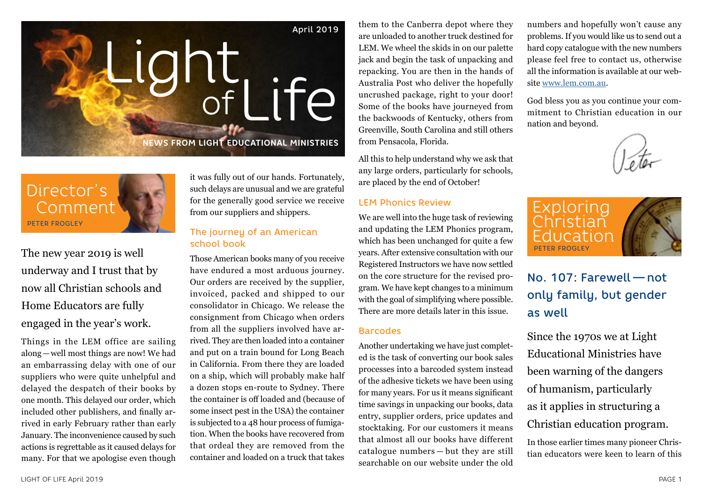

Director's Comment PETER FROGLEY

The new year 2019 is well underway and I trust that by now all Christian schools and Home Educators are fully engaged in the year's work.

Things in the LEM office are sailing along—well most things are now! We had an embarrassing delay with one of our suppliers who were quite unhelpful and delayed the despatch of their books by one month. This delayed our order, which included other publishers, and finally arrived in early February rather than early January. The inconvenience caused by such actions is regrettable as it caused delays for many. For that we apologise even though it was fully out of our hands. Fortunately, such delays are unusual and we are grateful for the generally good service we receive from our suppliers and shippers.

## The journey of an American school book

Those American books many of you receive have endured a most arduous journey. Our orders are received by the supplier, invoiced, packed and shipped to our consolidator in Chicago. We release the consignment from Chicago when orders from all the suppliers involved have arrived. They are then loaded into a container and put on a train bound for Long Beach in California. From there they are loaded on a ship, which will probably make half a dozen stops en-route to Sydney. There the container is off loaded and (because of some insect pest in the USA) the container is subjected to a 48 hour process of fumigation. When the books have recovered from that ordeal they are removed from the container and loaded on a truck that takes

them to the Canberra depot where they are unloaded to another truck destined for LEM. We wheel the skids in on our palette jack and begin the task of unpacking and repacking. You are then in the hands of Australia Post who deliver the hopefully uncrushed package, right to your door! Some of the books have journeyed from the backwoods of Kentucky, others from Greenville, South Carolina and still others from Pensacola, Florida.

All this to help understand why we ask that any large orders, particularly for schools, are placed by the end of October!

#### LEM Phonics Review

We are well into the huge task of reviewing and updating the LEM Phonics program, which has been unchanged for quite a few years. After extensive consultation with our Registered Instructors we have now settled on the core structure for the revised program. We have kept changes to a minimum with the goal of simplifying where possible. There are more details later in this issue.

### Barcodes

Another undertaking we have just completed is the task of converting our book sales processes into a barcoded system instead of the adhesive tickets we have been using for many years. For us it means significant time savings in unpacking our books, data entry, supplier orders, price updates and stocktaking. For our customers it means that almost all our books have different catalogue numbers — but they are still searchable on our website under the old

numbers and hopefully won't cause any problems. If you would like us to send out a hard copy catalogue with the new numbers please feel free to contact us, otherwise all the information is available at our website www.lem.com.au.

God bless you as you continue your commitment to Christian education in our nation and beyond.



# No. 107: Farewell — not only family, but gender as well

Since the 1970s we at Light Educational Ministries have been warning of the dangers of humanism, particularly as it applies in structuring a Christian education program.

In those earlier times many pioneer Christian educators were keen to learn of this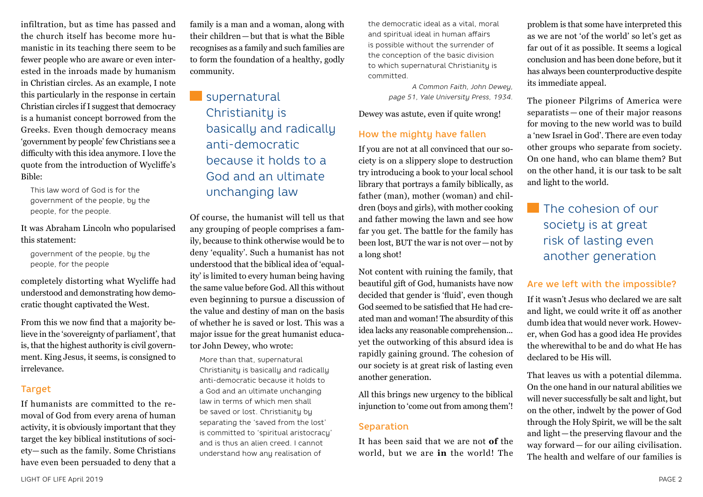infiltration, but as time has passed and the church itself has become more humanistic in its teaching there seem to be fewer people who are aware or even interested in the inroads made by humanism in Christian circles. As an example, I note this particularly in the response in certain Christian circles if I suggest that democracy is a humanist concept borrowed from the Greeks. Even though democracy means 'government by people' few Christians see a difficulty with this idea anymore. I love the quote from the introduction of Wycliffe's Bible:

This law word of God is for the government of the people, by the people, for the people.

#### It was Abraham Lincoln who popularised this statement:

government of the people, by the people, for the people

completely distorting what Wycliffe had understood and demonstrating how democratic thought captivated the West.

From this we now find that a majority believe in the 'sovereignty of parliament', that is, that the highest authority is civil government. King Jesus, it seems, is consigned to irrelevance.

#### **Target**

If humanists are committed to the removal of God from every arena of human activity, it is obviously important that they target the key biblical institutions of society— such as the family. Some Christians have even been persuaded to deny that a family is a man and a woman, along with their children—but that is what the Bible recognises as a family and such families are to form the foundation of a healthy, godly community.

# supernatural Christianity is basically and radically anti-democratic because it holds to a God and an ultimate unchanging law

Of course, the humanist will tell us that any grouping of people comprises a family, because to think otherwise would be to deny 'equality'. Such a humanist has not understood that the biblical idea of 'equality' is limited to every human being having the same value before God. All this without even beginning to pursue a discussion of the value and destiny of man on the basis of whether he is saved or lost. This was a major issue for the great humanist educator John Dewey, who wrote:

More than that, supernatural Christianity is basically and radically anti-democratic because it holds to a God and an ultimate unchanging law in terms of which men shall be saved or lost. Christianity by separating the 'saved from the lost' is committed to 'spiritual aristocracy' and is thus an alien creed. I cannot understand how any realisation of

the democratic ideal as a vital, moral and spiritual ideal in human affairs is possible without the surrender of the conception of the basic division to which supernatural Christianity is committed.

> *A Common Faith, John Dewey, page 51, Yale University Press, 1934.*

Dewey was astute, even if quite wrong!

## How the mighty have fallen

If you are not at all convinced that our society is on a slippery slope to destruction try introducing a book to your local school library that portrays a family biblically, as father (man), mother (woman) and children (boys and girls), with mother cooking and father mowing the lawn and see how far you get. The battle for the family has been lost, BUT the war is not over—not by a long shot!

Not content with ruining the family, that beautiful gift of God, humanists have now decided that gender is 'fluid', even though God seemed to be satisfied that He had created man and woman! The absurdity of this idea lacks any reasonable comprehension... yet the outworking of this absurd idea is rapidly gaining ground. The cohesion of our society is at great risk of lasting even another generation.

All this brings new urgency to the biblical injunction to 'come out from among them'!

#### Separation

It has been said that we are not **of** the world, but we are **in** the world! The problem is that some have interpreted this as we are not 'of the world' so let's get as far out of it as possible. It seems a logical conclusion and has been done before, but it has always been counterproductive despite its immediate appeal.

The pioneer Pilgrims of America were separatists — one of their major reasons for moving to the new world was to build a 'new Israel in God'. There are even today other groups who separate from society. On one hand, who can blame them? But on the other hand, it is our task to be salt and light to the world.

# **The cohesion of our** society is at great risk of lasting even another generation

### Are we left with the impossible?

If it wasn't Jesus who declared we are salt and light, we could write it off as another dumb idea that would never work. However, when God has a good idea He provides the wherewithal to be and do what He has declared to be His will.

That leaves us with a potential dilemma. On the one hand in our natural abilities we will never successfully be salt and light, but on the other, indwelt by the power of God through the Holy Spirit, we will be the salt and light—the preserving flavour and the way forward — for our ailing civilisation. The health and welfare of our families is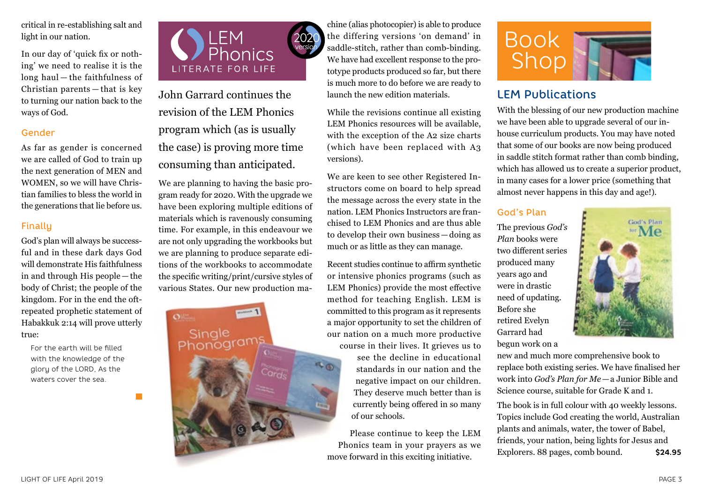critical in re-establishing salt and light in our nation.

In our day of 'quick fix or nothing' we need to realise it is the long haul — the faithfulness of Christian parents — that is key to turning our nation back to the ways of God.

#### Gender

As far as gender is concerned we are called of God to train up the next generation of MEN and WOMEN, so we will have Christian families to bless the world in the generations that lie before us.

## Finally

God's plan will always be successful and in these dark days God will demonstrate His faithfulness in and through His people — the body of Christ; the people of the kingdom. For in the end the oftrepeated prophetic statement of Habakkuk 2:14 will prove utterly true:

For the earth will be filled with the knowledge of the glory of the LORD, As the waters cover the sea.

×



John Garrard continues the revision of the LEM Phonics program which (as is usually the case) is proving more time consuming than anticipated.

We are planning to having the basic program ready for 2020. With the upgrade we have been exploring multiple editions of materials which is ravenously consuming time. For example, in this endeavour we are not only upgrading the workbooks but we are planning to produce separate editions of the workbooks to accommodate the specific writing/print/cursive styles of various States. Our new production ma-



chine (alias photocopier) is able to produce the differing versions 'on demand' in saddle-stitch, rather than comb-binding. We have had excellent response to the prototype products produced so far, but there is much more to do before we are ready to launch the new edition materials.

While the revisions continue all existing LEM Phonics resources will be available, with the exception of the A2 size charts (which have been replaced with A3 versions).

We are keen to see other Registered Instructors come on board to help spread the message across the every state in the nation. LEM Phonics Instructors are franchised to LEM Phonics and are thus able to develop their own business — doing as much or as little as they can manage.

Recent studies continue to affirm synthetic or intensive phonics programs (such as LEM Phonics) provide the most effective method for teaching English. LEM is committed to this program as it represents a major opportunity to set the children of our nation on a much more productive

course in their lives. It grieves us to see the decline in educational standards in our nation and the negative impact on our children. They deserve much better than is currently being offered in so many of our schools.

Please continue to keep the LEM Phonics team in your prayers as we move forward in this exciting initiative.



# LEM Publications

With the blessing of our new production machine we have been able to upgrade several of our inhouse curriculum products. You may have noted that some of our books are now being produced in saddle stitch format rather than comb binding, which has allowed us to create a superior product, in many cases for a lower price (something that almost never happens in this day and age!).

# God's Plan

The previous *God's Plan* books were two different series produced many years ago and were in drastic need of updating. Before she retired Evelyn Garrard had begun work on a



new and much more comprehensive book to replace both existing series. We have finalised her work into *God's Plan for Me—*a Junior Bible and Science course, suitable for Grade K and 1.

The book is in full colour with 40 weekly lessons. Topics include God creating the world, Australian plants and animals, water, the tower of Babel, friends, your nation, being lights for Jesus and Explorers. 88 pages, comb bound. **\$24.95**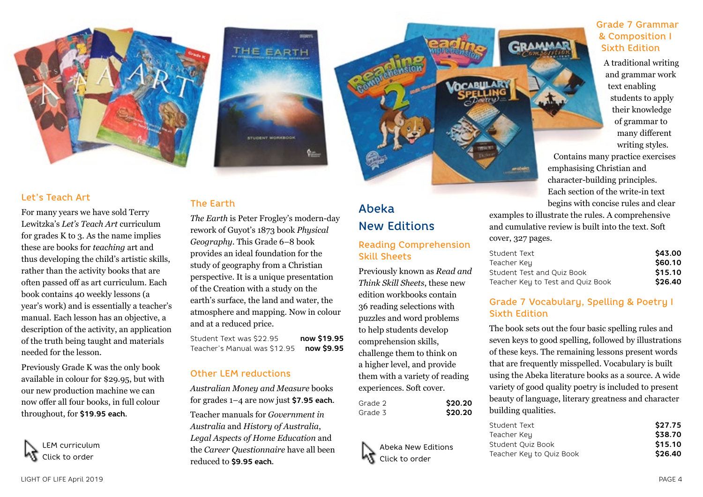

#### Let's Teach Art

For many years we have sold Terry Lewitzka's *Let's Teach Art* curriculum for grades K to 3. As the name implies these are books for *teaching* art and thus developing the child's artistic skills, rather than the activity books that are often passed off as art curriculum. Each book contains 40 weekly lessons (a year's work) and is essentially a teacher's manual. Each lesson has an objective, a description of the activity, an application of the truth being taught and materials needed for the lesson.

Previously Grade K was the only book available in colour for \$29.95, but with our new production machine we can now offer all four books, in full colour throughout, for **\$19.95 each**.

LEM curriculum Click to order



# The Earth

*The Earth* is Peter Frogley's modern-day rework of Guyot's 1873 book *Physical Geography*. This Grade 6–8 book provides an ideal foundation for the study of geography from a Christian perspective. It is a unique presentation of the Creation with a study on the earth's surface, the land and water, the atmosphere and mapping. Now in colour and at a reduced price.

Student Text was \$22.95 **now \$19.95** Teacher's Manual was \$12.95 **now \$9.95**

#### Other LEM reductions

*Australian Money and Measure* books for grades 1–4 are now just **\$7.95 each**. Teacher manuals for *Government in Australia* and *History of Australia*, *Legal Aspects of Home Education* and the *Career Questionnaire* have all been reduced to **\$9.95 each**.

# Abeka New Editions

# Reading Comprehension Skill Sheets

Previously known as *Read and Think Skill Sheets*, these new edition workbooks contain 36 reading selections with puzzles and word problems to help students develop comprehension skills, challenge them to think on a higher level, and provide them with a variety of reading experiences. Soft cover.

| Grade 2 | \$20.20 |
|---------|---------|
| Grade 3 | \$20.20 |



Grade 7 Grammar & Composition I Sixth Edition

A traditional writing and grammar work text enabling students to apply their knowledge of grammar to many different writing styles.

Contains many practice exercises emphasising Christian and character-building principles. Each section of the write-in text begins with concise rules and clear

examples to illustrate the rules. A comprehensive and cumulative review is built into the text. Soft cover, 327 pages.

| Student Text                      | \$43.00 |
|-----------------------------------|---------|
| Teacher Keu                       | \$60.10 |
| Student Test and Ouiz Book        | \$15.10 |
| Teacher Key to Test and Quiz Book | \$26.40 |

## Grade 7 Vocabulary, Spelling & Poetry I Sixth Edition

The book sets out the four basic spelling rules and seven keys to good spelling, followed by illustrations of these keys. The remaining lessons present words that are frequently misspelled. Vocabulary is built using the Abeka literature books as a source. A wide variety of good quality poetry is included to present beauty of language, literary greatness and character building qualities.

| Student Text             | \$27.75 |
|--------------------------|---------|
| Teacher Key              | \$38.70 |
| Student Ouiz Book        | \$15.10 |
| Teacher Key to Quiz Book | \$26.40 |